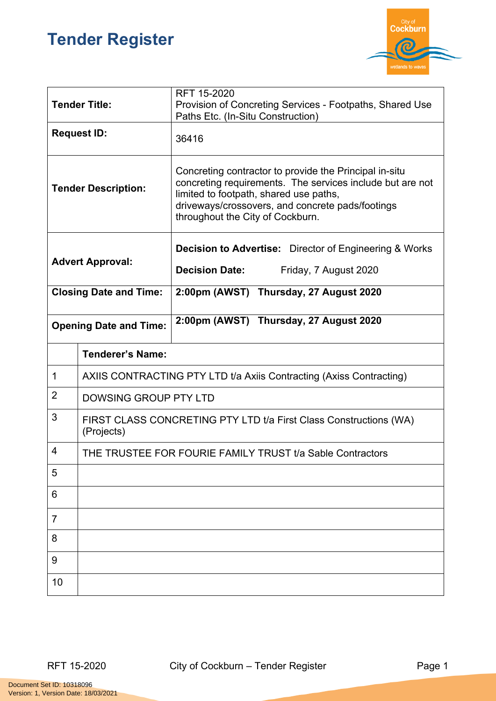## **Tender Register**



| <b>Tender Title:</b>          |                                                                                 | RFT 15-2020<br>Provision of Concreting Services - Footpaths, Shared Use<br>Paths Etc. (In-Situ Construction)                                                                                                                                          |  |
|-------------------------------|---------------------------------------------------------------------------------|-------------------------------------------------------------------------------------------------------------------------------------------------------------------------------------------------------------------------------------------------------|--|
| <b>Request ID:</b>            |                                                                                 | 36416                                                                                                                                                                                                                                                 |  |
| <b>Tender Description:</b>    |                                                                                 | Concreting contractor to provide the Principal in-situ<br>concreting requirements. The services include but are not<br>limited to footpath, shared use paths,<br>driveways/crossovers, and concrete pads/footings<br>throughout the City of Cockburn. |  |
| <b>Advert Approval:</b>       |                                                                                 | <b>Decision to Advertise:</b> Director of Engineering & Works                                                                                                                                                                                         |  |
|                               |                                                                                 | <b>Decision Date:</b><br>Friday, 7 August 2020                                                                                                                                                                                                        |  |
| <b>Closing Date and Time:</b> |                                                                                 | 2:00pm (AWST) Thursday, 27 August 2020                                                                                                                                                                                                                |  |
| <b>Opening Date and Time:</b> |                                                                                 | 2:00pm (AWST) Thursday, 27 August 2020                                                                                                                                                                                                                |  |
|                               | <b>Tenderer's Name:</b>                                                         |                                                                                                                                                                                                                                                       |  |
| 1                             | AXIIS CONTRACTING PTY LTD t/a Axiis Contracting (Axiss Contracting)             |                                                                                                                                                                                                                                                       |  |
| $\overline{2}$                | DOWSING GROUP PTY LTD                                                           |                                                                                                                                                                                                                                                       |  |
| 3                             | FIRST CLASS CONCRETING PTY LTD t/a First Class Constructions (WA)<br>(Projects) |                                                                                                                                                                                                                                                       |  |
| 4                             | THE TRUSTEE FOR FOURIE FAMILY TRUST t/a Sable Contractors                       |                                                                                                                                                                                                                                                       |  |
| 5                             |                                                                                 |                                                                                                                                                                                                                                                       |  |
| 6                             |                                                                                 |                                                                                                                                                                                                                                                       |  |
| $\overline{7}$                |                                                                                 |                                                                                                                                                                                                                                                       |  |
| 8                             |                                                                                 |                                                                                                                                                                                                                                                       |  |
| 9                             |                                                                                 |                                                                                                                                                                                                                                                       |  |
| 10                            |                                                                                 |                                                                                                                                                                                                                                                       |  |